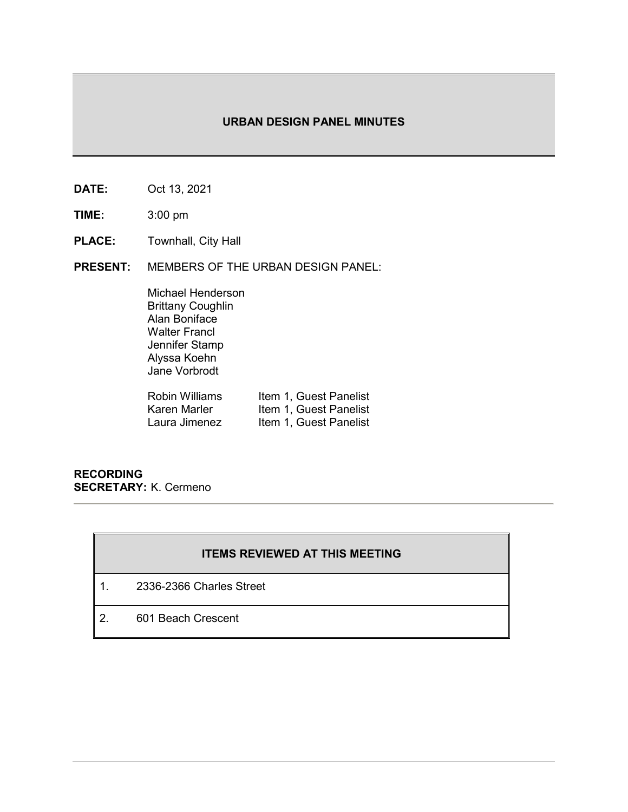# **URBAN DESIGN PANEL MINUTES**

- **DATE:** Oct 13, 2021
- **TIME:** 3:00 pm
- **PLACE:** Townhall, City Hall
- **PRESENT:** MEMBERS OF THE URBAN DESIGN PANEL:

Michael Henderson Brittany Coughlin Alan Boniface Walter Francl Jennifer Stamp Alyssa Koehn Jane Vorbrodt

| Robin Williams | Item 1, Guest Panelist |
|----------------|------------------------|
| Karen Marler   | Item 1, Guest Panelist |
| Laura Jimenez  | Item 1, Guest Panelist |

**RECORDING SECRETARY:** K. Cermeno

# **ITEMS REVIEWED AT THIS MEETING**

- 1. 2336-2366 Charles Street
- 2. 601 Beach Crescent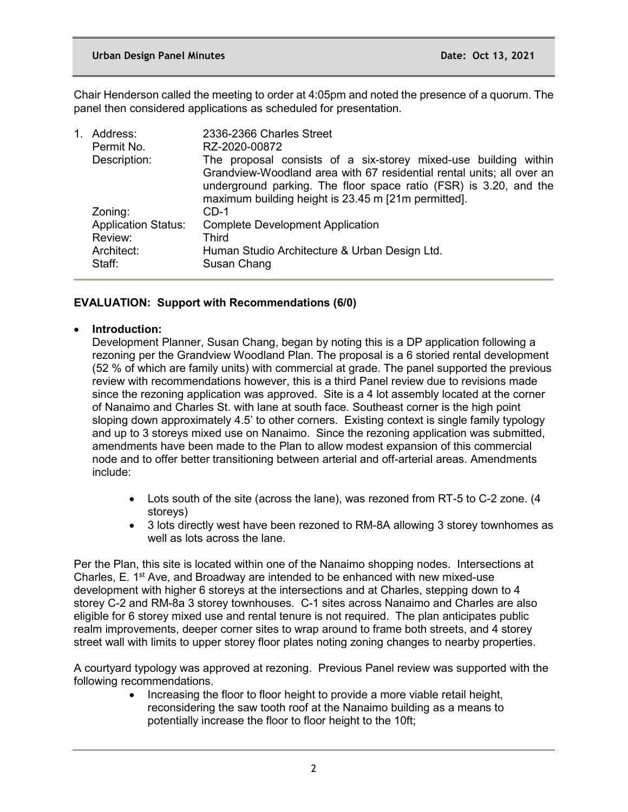Chair Henderson called the meeting to order at 4:05pm and noted the presence of a quorum. The panel then considered applications as scheduled for presentation.

| 1. | Address:<br>Permit No.     | 2336-2366 Charles Street<br>RZ-2020-00872                                                                                                                                                                                                                            |
|----|----------------------------|----------------------------------------------------------------------------------------------------------------------------------------------------------------------------------------------------------------------------------------------------------------------|
|    | Description:               | The proposal consists of a six-storey mixed-use building within<br>Grandview-Woodland area with 67 residential rental units; all over an<br>underground parking. The floor space ratio (FSR) is 3.20, and the<br>maximum building height is 23.45 m [21m permitted]. |
|    | Zoning:                    | CD-1                                                                                                                                                                                                                                                                 |
|    | <b>Application Status:</b> | <b>Complete Development Application</b>                                                                                                                                                                                                                              |
|    | Review:                    | Third                                                                                                                                                                                                                                                                |
|    | Architect:                 | Human Studio Architecture & Urban Design Ltd.                                                                                                                                                                                                                        |
|    | Staff:                     | Susan Chang                                                                                                                                                                                                                                                          |

# **EVALUATION: Support with Recommendations (6/0)**

# • **Introduction:**

Development Planner, Susan Chang, began by noting this is a DP application following a rezoning per the Grandview Woodland Plan. The proposal is a 6 storied rental development (52 % of which are family units) with commercial at grade. The panel supported the previous review with recommendations however, this is a third Panel review due to revisions made since the rezoning application was approved. Site is a 4 lot assembly located at the corner of Nanaimo and Charles St. with lane at south face. Southeast corner is the high point sloping down approximately 4.5' to other corners. Existing context is single family typology and up to 3 storeys mixed use on Nanaimo. Since the rezoning application was submitted, amendments have been made to the Plan to allow modest expansion of this commercial node and to offer better transitioning between arterial and off-arterial areas. Amendments include:

- Lots south of the site (across the lane), was rezoned from RT-5 to C-2 zone. (4 storeys)
- 3 lots directly west have been rezoned to RM-8A allowing 3 storey townhomes as well as lots across the lane.

Per the Plan, this site is located within one of the Nanaimo shopping nodes. Intersections at Charles, E.  $1<sup>st</sup>$  Ave, and Broadway are intended to be enhanced with new mixed-use development with higher 6 storeys at the intersections and at Charles, stepping down to 4 storey C-2 and RM-8a 3 storey townhouses. C-1 sites across Nanaimo and Charles are also eligible for 6 storey mixed use and rental tenure is not required. The plan anticipates public realm improvements, deeper corner sites to wrap around to frame both streets, and 4 storey street wall with limits to upper storey floor plates noting zoning changes to nearby properties.

A courtyard typology was approved at rezoning. Previous Panel review was supported with the following recommendations.

> • Increasing the floor to floor height to provide a more viable retail height, reconsidering the saw tooth roof at the Nanaimo building as a means to potentially increase the floor to floor height to the 10ft;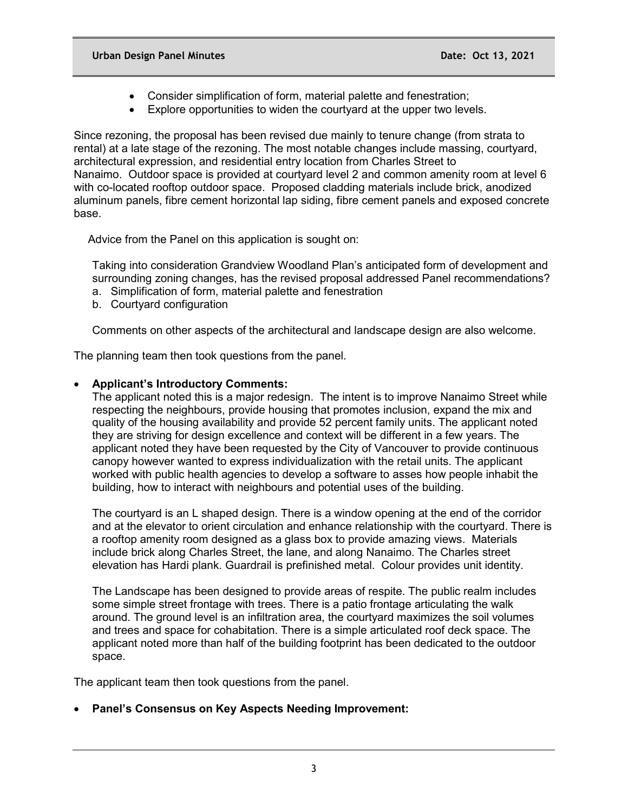- Consider simplification of form, material palette and fenestration;
- Explore opportunities to widen the courtyard at the upper two levels.

Since rezoning, the proposal has been revised due mainly to tenure change (from strata to rental) at a late stage of the rezoning. The most notable changes include massing, courtyard, architectural expression, and residential entry location from Charles Street to Nanaimo. Outdoor space is provided at courtyard level 2 and common amenity room at level 6 with co-located rooftop outdoor space. Proposed cladding materials include brick, anodized aluminum panels, fibre cement horizontal lap siding, fibre cement panels and exposed concrete base.

Advice from the Panel on this application is sought on:

Taking into consideration Grandview Woodland Plan's anticipated form of development and surrounding zoning changes, has the revised proposal addressed Panel recommendations?

- a. Simplification of form, material palette and fenestration
- b. Courtyard configuration

Comments on other aspects of the architectural and landscape design are also welcome.

The planning team then took questions from the panel.

## • **Applicant's Introductory Comments:**

The applicant noted this is a major redesign. The intent is to improve Nanaimo Street while respecting the neighbours, provide housing that promotes inclusion, expand the mix and quality of the housing availability and provide 52 percent family units. The applicant noted they are striving for design excellence and context will be different in a few years. The applicant noted they have been requested by the City of Vancouver to provide continuous canopy however wanted to express individualization with the retail units. The applicant worked with public health agencies to develop a software to asses how people inhabit the building, how to interact with neighbours and potential uses of the building.

The courtyard is an L shaped design. There is a window opening at the end of the corridor and at the elevator to orient circulation and enhance relationship with the courtyard. There is a rooftop amenity room designed as a glass box to provide amazing views. Materials include brick along Charles Street, the lane, and along Nanaimo. The Charles street elevation has Hardi plank. Guardrail is prefinished metal. Colour provides unit identity.

The Landscape has been designed to provide areas of respite. The public realm includes some simple street frontage with trees. There is a patio frontage articulating the walk around. The ground level is an infiltration area, the courtyard maximizes the soil volumes and trees and space for cohabitation. There is a simple articulated roof deck space. The applicant noted more than half of the building footprint has been dedicated to the outdoor space.

The applicant team then took questions from the panel.

• **Panel's Consensus on Key Aspects Needing Improvement:**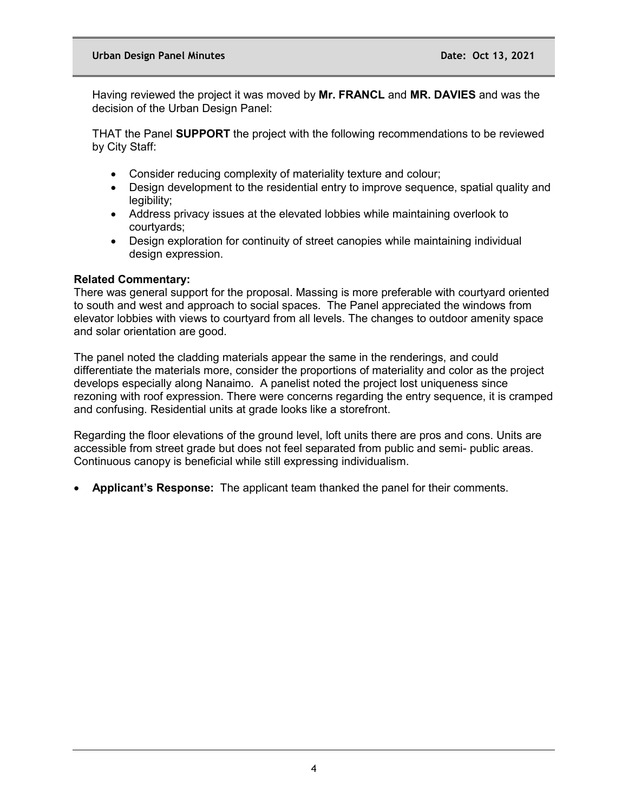Having reviewed the project it was moved by **Mr. FRANCL** and **MR. DAVIES** and was the decision of the Urban Design Panel:

THAT the Panel **SUPPORT** the project with the following recommendations to be reviewed by City Staff:

- Consider reducing complexity of materiality texture and colour;
- Design development to the residential entry to improve sequence, spatial quality and legibility;
- Address privacy issues at the elevated lobbies while maintaining overlook to courtyards;
- Design exploration for continuity of street canopies while maintaining individual design expression.

### **Related Commentary:**

There was general support for the proposal. Massing is more preferable with courtyard oriented to south and west and approach to social spaces. The Panel appreciated the windows from elevator lobbies with views to courtyard from all levels. The changes to outdoor amenity space and solar orientation are good.

The panel noted the cladding materials appear the same in the renderings, and could differentiate the materials more, consider the proportions of materiality and color as the project develops especially along Nanaimo. A panelist noted the project lost uniqueness since rezoning with roof expression. There were concerns regarding the entry sequence, it is cramped and confusing. Residential units at grade looks like a storefront.

Regarding the floor elevations of the ground level, loft units there are pros and cons. Units are accessible from street grade but does not feel separated from public and semi- public areas. Continuous canopy is beneficial while still expressing individualism.

• **Applicant's Response:** The applicant team thanked the panel for their comments.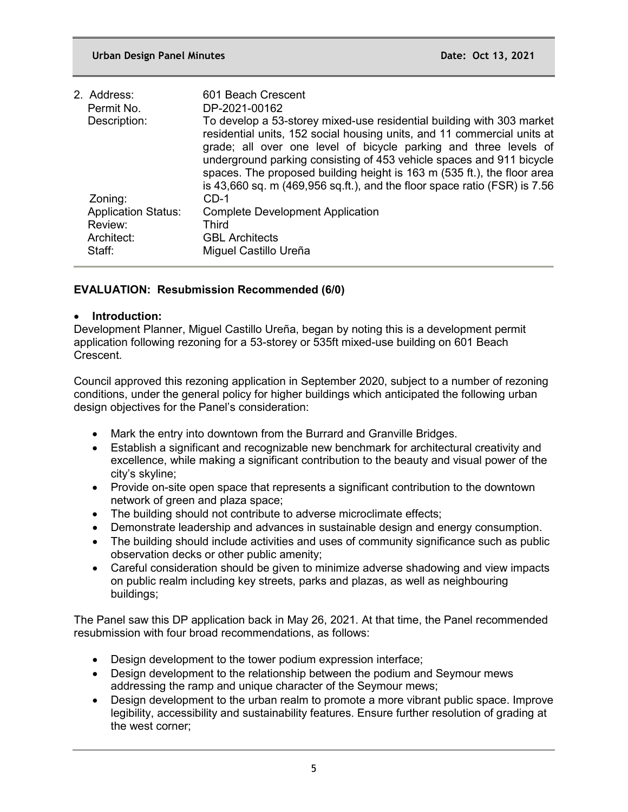| 2. Address:                | 601 Beach Crescent                                                                                                                                                                                                                                                                                                                                                                                                                                       |
|----------------------------|----------------------------------------------------------------------------------------------------------------------------------------------------------------------------------------------------------------------------------------------------------------------------------------------------------------------------------------------------------------------------------------------------------------------------------------------------------|
| Permit No.                 | DP-2021-00162                                                                                                                                                                                                                                                                                                                                                                                                                                            |
| Description:               | To develop a 53-storey mixed-use residential building with 303 market<br>residential units, 152 social housing units, and 11 commercial units at<br>grade; all over one level of bicycle parking and three levels of<br>underground parking consisting of 453 vehicle spaces and 911 bicycle<br>spaces. The proposed building height is 163 m (535 ft.), the floor area<br>is 43,660 sq. m $(469,956$ sq.ft.), and the floor space ratio $(FSR)$ is 7.56 |
| Zoning:                    | $CD-1$                                                                                                                                                                                                                                                                                                                                                                                                                                                   |
| <b>Application Status:</b> | <b>Complete Development Application</b>                                                                                                                                                                                                                                                                                                                                                                                                                  |
| Review:                    | Third                                                                                                                                                                                                                                                                                                                                                                                                                                                    |
| Architect:                 | <b>GBL Architects</b>                                                                                                                                                                                                                                                                                                                                                                                                                                    |
| Staff:                     | Miguel Castillo Ureña                                                                                                                                                                                                                                                                                                                                                                                                                                    |
|                            |                                                                                                                                                                                                                                                                                                                                                                                                                                                          |

# **EVALUATION: Resubmission Recommended (6/0)**

## • **Introduction:**

Development Planner, Miguel Castillo Ureña, began by noting this is a development permit application following rezoning for a 53-storey or 535ft mixed-use building on 601 Beach Crescent.

Council approved this rezoning application in September 2020, subject to a number of rezoning conditions, under the general policy for higher buildings which anticipated the following urban design objectives for the Panel's consideration:

- Mark the entry into downtown from the Burrard and Granville Bridges.
- Establish a significant and recognizable new benchmark for architectural creativity and excellence, while making a significant contribution to the beauty and visual power of the city's skyline;
- Provide on-site open space that represents a significant contribution to the downtown network of green and plaza space;
- The building should not contribute to adverse microclimate effects;
- Demonstrate leadership and advances in sustainable design and energy consumption.
- The building should include activities and uses of community significance such as public observation decks or other public amenity;
- Careful consideration should be given to minimize adverse shadowing and view impacts on public realm including key streets, parks and plazas, as well as neighbouring buildings;

The Panel saw this DP application back in May 26, 2021. At that time, the Panel recommended resubmission with four broad recommendations, as follows:

- Design development to the tower podium expression interface;
- Design development to the relationship between the podium and Seymour mews addressing the ramp and unique character of the Seymour mews;
- Design development to the urban realm to promote a more vibrant public space. Improve legibility, accessibility and sustainability features. Ensure further resolution of grading at the west corner;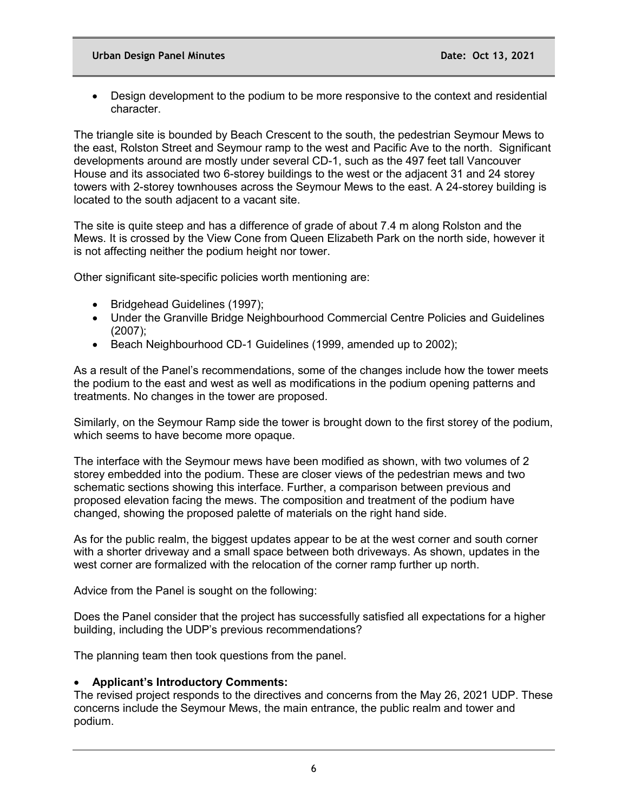• Design development to the podium to be more responsive to the context and residential character.

The triangle site is bounded by Beach Crescent to the south, the pedestrian Seymour Mews to the east, Rolston Street and Seymour ramp to the west and Pacific Ave to the north. Significant developments around are mostly under several CD-1, such as the 497 feet tall Vancouver House and its associated two 6-storey buildings to the west or the adjacent 31 and 24 storey towers with 2-storey townhouses across the Seymour Mews to the east. A 24-storey building is located to the south adjacent to a vacant site.

The site is quite steep and has a difference of grade of about 7.4 m along Rolston and the Mews. It is crossed by the View Cone from Queen Elizabeth Park on the north side, however it is not affecting neither the podium height nor tower.

Other significant site-specific policies worth mentioning are:

- Bridgehead Guidelines (1997);
- Under the Granville Bridge Neighbourhood Commercial Centre Policies and Guidelines (2007);
- Beach Neighbourhood CD-1 Guidelines (1999, amended up to 2002);

As a result of the Panel's recommendations, some of the changes include how the tower meets the podium to the east and west as well as modifications in the podium opening patterns and treatments. No changes in the tower are proposed.

Similarly, on the Seymour Ramp side the tower is brought down to the first storey of the podium, which seems to have become more opaque.

The interface with the Seymour mews have been modified as shown, with two volumes of 2 storey embedded into the podium. These are closer views of the pedestrian mews and two schematic sections showing this interface. Further, a comparison between previous and proposed elevation facing the mews. The composition and treatment of the podium have changed, showing the proposed palette of materials on the right hand side.

As for the public realm, the biggest updates appear to be at the west corner and south corner with a shorter driveway and a small space between both driveways. As shown, updates in the west corner are formalized with the relocation of the corner ramp further up north.

Advice from the Panel is sought on the following:

Does the Panel consider that the project has successfully satisfied all expectations for a higher building, including the UDP's previous recommendations?

The planning team then took questions from the panel.

# • **Applicant's Introductory Comments:**

The revised project responds to the directives and concerns from the May 26, 2021 UDP. These concerns include the Seymour Mews, the main entrance, the public realm and tower and podium.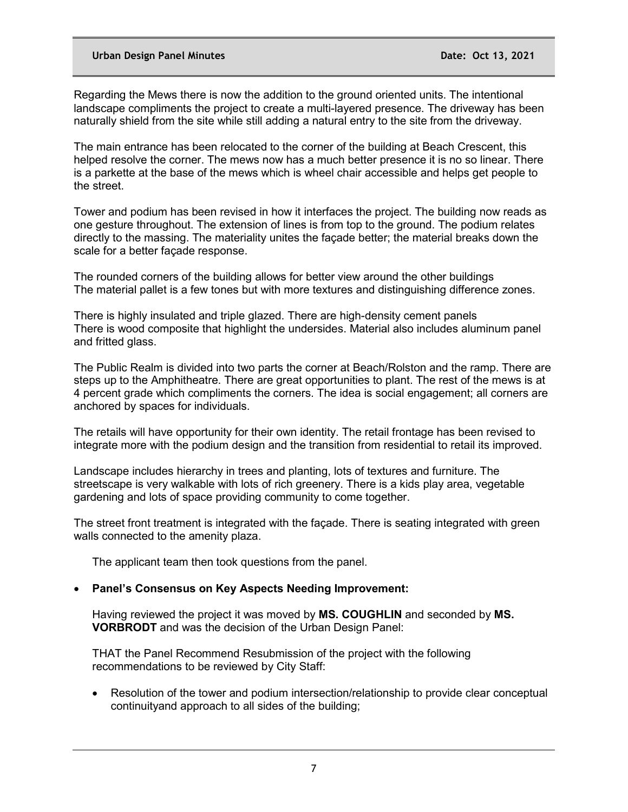#### **Urban Design Panel Minutes Date: Oct 13, 2021**

Regarding the Mews there is now the addition to the ground oriented units. The intentional landscape compliments the project to create a multi-layered presence. The driveway has been naturally shield from the site while still adding a natural entry to the site from the driveway.

The main entrance has been relocated to the corner of the building at Beach Crescent, this helped resolve the corner. The mews now has a much better presence it is no so linear. There is a parkette at the base of the mews which is wheel chair accessible and helps get people to the street.

Tower and podium has been revised in how it interfaces the project. The building now reads as one gesture throughout. The extension of lines is from top to the ground. The podium relates directly to the massing. The materiality unites the façade better; the material breaks down the scale for a better façade response.

The rounded corners of the building allows for better view around the other buildings The material pallet is a few tones but with more textures and distinguishing difference zones.

There is highly insulated and triple glazed. There are high-density cement panels There is wood composite that highlight the undersides. Material also includes aluminum panel and fritted glass.

The Public Realm is divided into two parts the corner at Beach/Rolston and the ramp. There are steps up to the Amphitheatre. There are great opportunities to plant. The rest of the mews is at 4 percent grade which compliments the corners. The idea is social engagement; all corners are anchored by spaces for individuals.

The retails will have opportunity for their own identity. The retail frontage has been revised to integrate more with the podium design and the transition from residential to retail its improved.

Landscape includes hierarchy in trees and planting, lots of textures and furniture. The streetscape is very walkable with lots of rich greenery. There is a kids play area, vegetable gardening and lots of space providing community to come together.

The street front treatment is integrated with the façade. There is seating integrated with green walls connected to the amenity plaza.

The applicant team then took questions from the panel.

### • **Panel's Consensus on Key Aspects Needing Improvement:**

Having reviewed the project it was moved by **MS. COUGHLIN** and seconded by **MS. VORBRODT** and was the decision of the Urban Design Panel:

THAT the Panel Recommend Resubmission of the project with the following recommendations to be reviewed by City Staff:

• Resolution of the tower and podium intersection/relationship to provide clear conceptual continuityand approach to all sides of the building;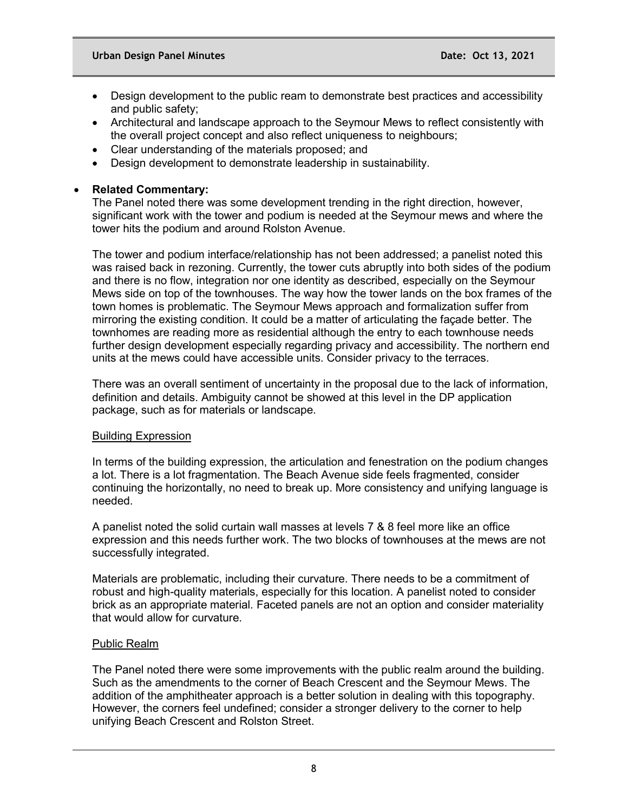- Design development to the public ream to demonstrate best practices and accessibility and public safety;
- Architectural and landscape approach to the Seymour Mews to reflect consistently with the overall project concept and also reflect uniqueness to neighbours;
- Clear understanding of the materials proposed; and
- Design development to demonstrate leadership in sustainability.

## • **Related Commentary:**

The Panel noted there was some development trending in the right direction, however, significant work with the tower and podium is needed at the Seymour mews and where the tower hits the podium and around Rolston Avenue.

The tower and podium interface/relationship has not been addressed; a panelist noted this was raised back in rezoning. Currently, the tower cuts abruptly into both sides of the podium and there is no flow, integration nor one identity as described, especially on the Seymour Mews side on top of the townhouses. The way how the tower lands on the box frames of the town homes is problematic. The Seymour Mews approach and formalization suffer from mirroring the existing condition. It could be a matter of articulating the façade better. The townhomes are reading more as residential although the entry to each townhouse needs further design development especially regarding privacy and accessibility. The northern end units at the mews could have accessible units. Consider privacy to the terraces.

There was an overall sentiment of uncertainty in the proposal due to the lack of information, definition and details. Ambiguity cannot be showed at this level in the DP application package, such as for materials or landscape.

### Building Expression

In terms of the building expression, the articulation and fenestration on the podium changes a lot. There is a lot fragmentation. The Beach Avenue side feels fragmented, consider continuing the horizontally, no need to break up. More consistency and unifying language is needed.

A panelist noted the solid curtain wall masses at levels 7 & 8 feel more like an office expression and this needs further work. The two blocks of townhouses at the mews are not successfully integrated.

Materials are problematic, including their curvature. There needs to be a commitment of robust and high-quality materials, especially for this location. A panelist noted to consider brick as an appropriate material. Faceted panels are not an option and consider materiality that would allow for curvature.

### Public Realm

The Panel noted there were some improvements with the public realm around the building. Such as the amendments to the corner of Beach Crescent and the Seymour Mews. The addition of the amphitheater approach is a better solution in dealing with this topography. However, the corners feel undefined; consider a stronger delivery to the corner to help unifying Beach Crescent and Rolston Street.